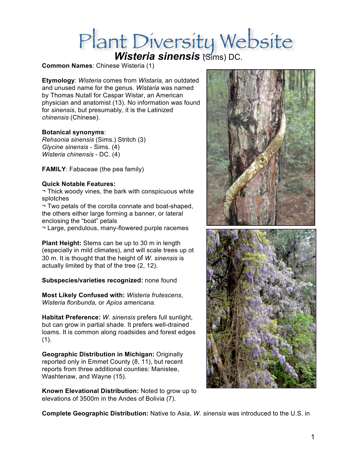# Plant Diversity Website

## **Common Names**: Chinese Wisteria (1)

**Etymology**: *Wisteria* comes from *Wistaria*, an outdated and unused name for the genus. *Wistaria* was named by Thomas Nutall for Caspar Wistar, an American physician and anatomist (13). No information was found for *sinensis*, but presumably, it is the Latinized *chinensis* (Chinese).

### **Botanical synonyms**:

*Rehsonia sinensis* (Sims.) Stritch (3) *Glycine sinensis* - Sims. (4) *Wisteria chinensis* - DC. (4)

**FAMILY**: Fabaceae (the pea family)

### **Quick Notable Features:**

¬ Thick woody vines, the bark with conspicuous white splotches

¬ Two petals of the corolla connate and boat-shaped, the others either large forming a banner, or lateral enclosing the "boat" petals

¬ Large, pendulous, many-flowered purple racemes

**Plant Height:** Stems can be up to 30 m in length (especially in mild climates), and will scale trees up ot 30 m. It is thought that the height of *W. sinensis* is actually limited by that of the tree (2, 12).

**Subspecies/varieties recognized:** none found

**Most Likely Confused with:** *Wisteria frutescens*, *Wisteria floribunda,* or *Apios americana.* 

**Habitat Preference:** *W. sinensis* prefers full sunlight, but can grow in partial shade. It prefers well-drained loams. It is common along roadsides and forest edges  $(1)$ .

**Geographic Distribution in Michigan:** Originally reported only in Emmet County (8, 11), but recent reports from three additional counties: Manistee, Washtenaw, and Wayne (15).

**Known Elevational Distribution:** Noted to grow up to elevations of 3500m in the Andes of Bolivia (7).



**Complete Geographic Distribution:** Native to Asia, *W. sinensis* was introduced to the U.S. in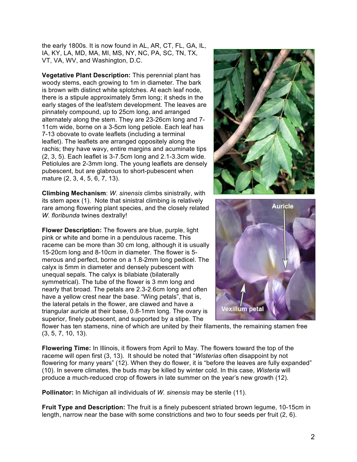the early 1800s. It is now found in AL, AR, CT, FL, GA, IL, IA, KY, LA, MD, MA, MI, MS, NY, NC, PA, SC, TN, TX, VT, VA, WV, and Washington, D.C.

**Vegetative Plant Description:** This perennial plant has woody stems, each growing to 1m in diameter. The bark is brown with distinct white splotches. At each leaf node, there is a stipule approximately 5mm long; it sheds in the early stages of the leaf/stem development. The leaves are pinnately compound, up to 25cm long, and arranged alternately along the stem. They are 23-26cm long and 7- 11cm wide, borne on a 3-5cm long petiole. Each leaf has 7-13 obovate to ovate leaflets (including a terminal leaflet). The leaflets are arranged oppositely along the rachis; they have wavy, entire margins and acuminate tips (2, 3, 5). Each leaflet is 3-7.5cm long and 2.1-3.3cm wide. Petiolules are 2-3mm long. The young leaflets are densely pubescent, but are glabrous to short-pubescent when mature (2, 3, 4, 5, 6, 7, 13).

**Climbing Mechanism**: *W. sinensis* climbs sinistrally, with its stem apex (1). Note that sinistral climbing is relatively rare among flowering plant species, and the closely related *W. floribunda* twines dextrally!

**Flower Description:** The flowers are blue, purple, light pink or white and borne in a pendulous raceme. This raceme can be more than 30 cm long, although it is usually 15-20cm long and 8-10cm in diameter. The flower is 5 merous and perfect, borne on a 1.8-2mm long pedicel. The calyx is 5mm in diameter and densely pubescent with unequal sepals. The calyx is bilabiate (bilaterally symmetrical). The tube of the flower is 3 mm long and nearly that broad. The petals are 2.3-2.6cm long and often have a yellow crest near the base. "Wing petals", that is, the lateral petals in the flower, are clawed and have a triangular auricle at their base, 0.8-1mm long. The ovary is superior, finely pubescent, and supported by a stipe. The





flower has ten stamens, nine of which are united by their filaments, the remaining stamen free (3, 5, 7, 10, 13).

**Flowering Time:** In Illinois, it flowers from April to May. The flowers toward the top of the raceme will open first (3, 13). It should be noted that "*Wisterias* often disappoint by not flowering for many years" (12). When they do flower, it is "before the leaves are fully expanded" (10). In severe climates, the buds may be killed by winter cold. In this case, *Wisteria* will produce a much-reduced crop of flowers in late summer on the year's new growth (12).

**Pollinator:** In Michigan all individuals of *W. sinensis* may be sterile (11).

**Fruit Type and Description:** The fruit is a finely pubescent striated brown legume, 10-15cm in length, narrow near the base with some constrictions and two to four seeds per fruit (2, 6).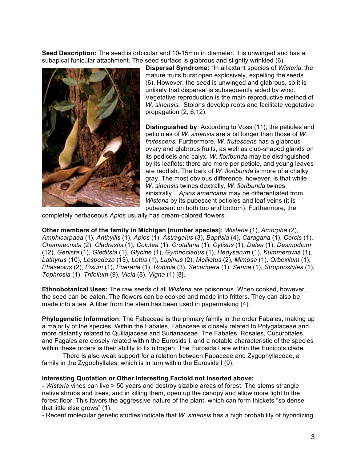**Seed Description:** The seed is orbicular and 10-15mm in diameter. It is unwinged and has a subapical funicular attachment. The seed surface is glabrous and slightly wrinkled (6).



**Dispersal Syndrome:** "In all extant species of *Wisteria*, the mature fruits burst open explosively, expelling the seeds" (6). However, the seed is unwinged and glabrous, so it is unlikely that dispersal is subsequently aided by wind. Vegetative reproduction is the main reproductive method of *W. sinensis.* Stolons develop roots and facilitate vegetative propagation (2, 6,12).

**Distinguished by**: According to Voss (11), the petioles and petiolules of *W. sinensis* are a bit longer than those of *W. frutescens.* Furthermore, *W. frutescens* has a glabrous ovary and glabrous fruits, as well as club-shaped glands on its pedicels and calyx. *W. floribunda* may be distinguished by its leaflets: there are more per petiole, and young leaves are reddish. The bark of *W. floribunda* is more of a chalky gray. The most obvious difference, however, is that while *W. sinensis* twines dextrally, *W. floribunda* twines sinistrally. *Apios americana* may be differentiated from *Wisteria* by its pubescent petioles and leaf veins (it is pubescent on both top and bottom). Furthermore, the

completely herbaceous *Apios* usually has cream-colored flowers.

**Other members of the family in Michigan [number species]:** *Wisteria* (1), *Amorpha* (2), *Amphicarpaea* (1), *Anthyllis* (1), *Apios* (1), *Astragalus* (3), *Baptisia* (4), *Caragana* (1), *Cercis* (1), *Chamaecrista* (2), *Cladrastis* (1), *Colutea* (1), *Crotalaria* (1), *Cytisus* (1), *Dalea* (1), *Desmodium*  (12), *Genista* (1), *Gleditsia* (1), *Glycine* (1), *Gymnocladus* (1), *Hedysarum* (1), *Kummerowia* (1), *Lathyrus* (10), *Lespedeza* (13), *Lotus* (1), *Lupinus* (2), *Melilotus* (2), *Mimosa* (1), *Orbexilum* (1), *Phaseolus* (2), *Pisum* (1), *Pueraria* (1), *Robinia* (3), *Securigera* (1), *Senna* (1), *Strophostyles* (1), *Tephrosia* (1), *Trifolium* (9), *Vicia* (8), *Vigna* (1) [8].

**Ethnobotanical Uses:** The raw seeds of all *Wisteria* are poisonous. When cooked, however, the seed can be eaten. The flowers can be cooked and made into fritters. They can also be made into a tea. A fiber from the stem has been used in papermaking (4).

**Phylogenetic Information**: The Fabaceae is the primary family in the order Fabales, making up a majority of the species. Within the Fabales, Fabaceae is closely related to Polygalaceae and more distantly related to Quillajaceae and Surianaceae. The Fabales, Rosales, Cucurbitales, and Fagales are closely related within the Eurosids I, and a notable characteristic of the species within these orders is their ability to fix nitrogen. The Eurosids I are within the Eudicots clade.

There is also weak support for a relation between Fabaceae and Zygophyllaceae, a family in the Zygophyllales, which is in turn within the Eurosids I (9).

### **Interesting Quotation or Other Interesting Factoid not inserted above:**

- *Wisteria* vines can live > 50 years and destroy sizable areas of forest. The stems strangle native shrubs and trees, and in killing them, open up the canopy and allow more light to the forest floor. This favors the aggressive nature of the plant, which can form thickets "so dense that little else grows" (1).

- Recent molecular genetic studies indicate that *W. sinensis* has a high probability of hybridizing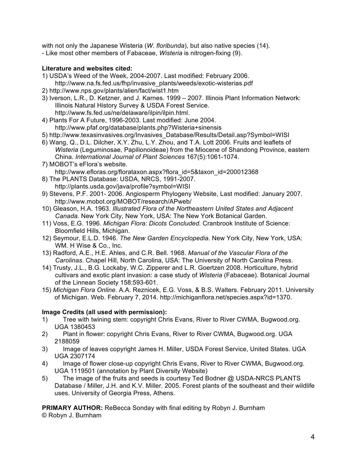with not only the Japanese Wisteria (*W. floribunda*), but also native species (14). - Like most other members of Fabaceae, *Wisteria* is nitrogen-fixing (9).

# **Literature and websites cited:**

- 1) USDA's Weed of the Week, 2004-2007. Last modified: February 2006. http://www.na.fs.fed.us/fhp/invasive\_plants/weeds/exotic-wisterias.pdf
- 2) http://www.nps.gov/plants/alien/fact/wist1.htm
- 3) Iverson, L.R., D. Ketzner, and J. Karnes. 1999 2007. Illinois Plant Information Network: Illinois Natural History Survey & USDA Forest Service. http://www.fs.fed.us/ne/delaware/ilpin/ilpin.html.
- 4) Plants For A Future, 1996-2003. Last modified: June 2004. http://www.pfaf.org/database/plants.php?Wisteria+sinensis
- 5) http://www.texasinvasives.org/Invasives\_Database/Results/Detail.asp?Symbol=WISI
- 6) Wang, Q., D.L. Dilcher, X.Y. Zhu, L.Y. Zhou, and T.A. Lott 2006. Fruits and leaflets of *Wisteria* (Leguminosae, Papilionoideae) from the Miocene of Shandong Province, eastern China. *International Journal of Plant Sciences* 167(5):1061-1074.
- 7) MOBOT's eFlora's website. http://www.efloras.org/florataxon.aspx?flora\_id=5&taxon\_id=200012368
- 8) The PLANTS Database: USDA, NRCS, 1991-2007. http://plants.usda.gov/java/profile?symbol=WISI
- 9) Stevens, P.F. 2001- 2006. Angiosperm Phylogeny Website, Last modified: January 2007. http://www.mobot.org/MOBOT/research/APweb/
- 10) Gleason, H.A. 1963. *Illustrated Flora of the Northeastern United States and Adjacent Canada.* New York City, New York, USA: The New York Botanical Garden.
- 11) Voss, E.G. 1996. *Michigan Flora: Dicots Concluded.* Cranbrook Institute of Science: Bloomfield Hills, Michigan.
- 12) Seymour, E.L.D. 1946. *The New Garden Encyclopedia.* New York City, New York, USA: WM. H Wise & Co., Inc.
- 13) Radford, A.E., H.E. Ahles, and C.R. Bell. 1968. *Manual of the Vascular Flora of the Carolinas*. Chapel Hill, North Carolina, USA: The University of North Carolina Press.
- 14) Trusty, J.L., B.G. Lockaby, W.C. Zipperer and L.R. Goertzen 2008. Horticulture, hybrid cultivars and exotic plant invasion: a case study of *Wisteria* (Fabaceae). Botanical Journal of the Linnean Society 158:593-601.
- 15) *Michigan Flora Online*. A.A. Reznicek, E.G. Voss, & B.S. Walters. February 2011. University of Michigan. Web. February 7, 2014. http://michiganflora.net/species.aspx?id=1370.

# **Image Credits (all used with permission):**

- 1) Tree with twining stem: copyright Chris Evans, River to River CWMA, Bugwood.org. UGA 1380453
- 2) Plant in flower: copyright Chris Evans, River to River CWMA, Bugwood.org. UGA 2188059
- 3) Image of leaves copyright James H. Miller, USDA Forest Service, United States. UGA UGA 2307174
- 4) Image of flower close-up copyright Chris Evans, River to River CWMA, Bugwood.org. UGA 1119501 (annotation by Plant Diversity Website)
- 5) The image of the fruits and seeds is courtesy Ted Bodner @ USDA-NRCS PLANTS Database / Miller, J.H. and K.V. Miller. 2005. Forest plants of the southeast and their wildlife uses. University of Georgia Press, Athens.

**PRIMARY AUTHOR:** ReBecca Sonday with final editing by Robyn J. Burnham © Robyn J. Burnham